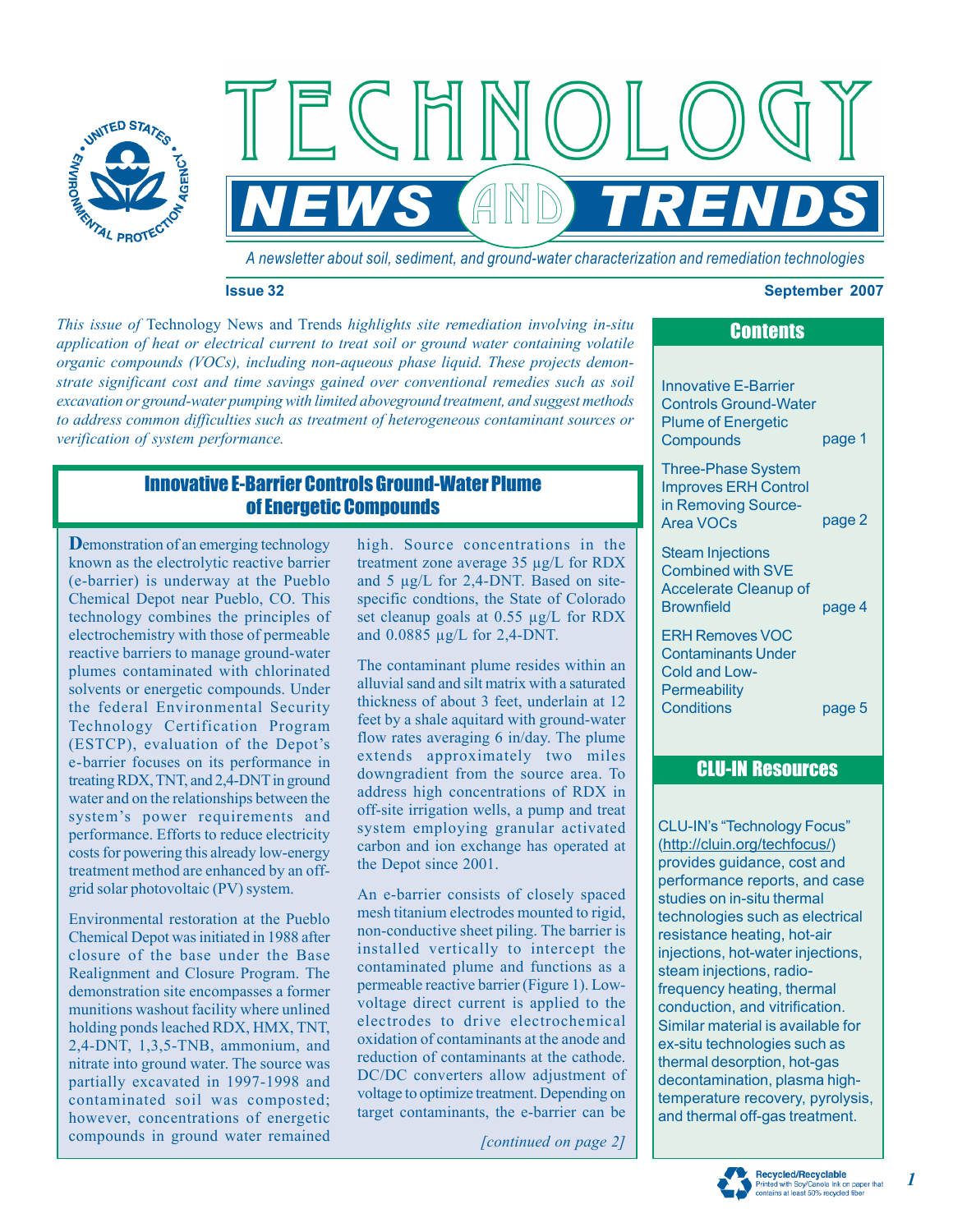

*A newsletter about soil, sediment, and ground-water characterization and remediation technologies*

**NEWS AND TRENDS** 

### **Issue 32 September 2007**

*This issue of*  Technology News and Trends *highlights site remediation involving in-situ verification of system performance. application of heat or electrical current to treat soil or ground water containing volatile organic compounds (VOCs), including non-aqueous phase liquid. These projects demonstrate significant cost and time savings gained over conventional remedies such as soil excavation or ground-water pumping with limited aboveground treatment, and suggest methods to address common difficulties such as treatment of heterogeneous contaminant sources or* 

# Innovative E-Barrier Controls Ground-Water Plume of Energetic Compounds

**D**emonstration of an emerging technology known as the electrolytic reactive barrier (e-barrier) is underway at the Pueblo Chemical Depot near Pueblo, CO. This technology combines the principles of electrochemistry with those of permeable reactive barriers to manage ground-water plumes contaminated with chlorinated solvents or energetic compounds. Under the federal Environmental Security water and on the relationships between the performance. Efforts to reduce electricity costs for powering this already low-energy treatment method are enhanced by an offgrid solar photovoltaic (PV) system. Technology Certification Program (ESTCP), evaluation of the Depot's e-barrier focuses on its performance in treating RDX, TNT, and 2,4-DNT in ground system's power requirements and

Environmental restoration at the Pueblo Chemical Depot was initiated in 1988 after closure of the base under the Base Realignment and Closure Program. The demonstration site encompasses a former munitions washout facility where unlined partially excavated in 1997-1998 and contaminated soil was composted; compounds in ground water remained holding ponds leached RDX, HMX, TNT, 2,4-DNT, 1,3,5-TNB, ammonium, and nitrate into ground water. The source was however, concentrations of energetic high. Source concentrations in the treatment zone average 35 µg/L for RDX specific condtions, the State of Colorado and 5 µg/L for 2,4-DNT. Based on siteset cleanup goals at 0.55 µg/L for RDX and 0.0885 µg/L for 2,4-DNT.

The contaminant plume resides within an alluvial sand and silt matrix with a saturated thickness of about 3 feet, underlain at 12 feet by a shale aquitard with ground-water extends approximately two miles address high concentrations of RDX in off-site irrigation wells, a pump and treat system employing granular activated carbon and ion exchange has operated at the Depot since 2001. flow rates averaging 6 in/day. The plume downgradient from the source area. To

An e-barrier consists of closely spaced mesh titanium electrodes mounted to rigid, non-conductive sheet piling. The barrier is installed vertically to intercept the contaminated plume and functions as a permeable reactive barrier (Figure 1). Lowvoltage direct current is applied to the electrodes to drive electrochemical oxidation of contaminants at the anode and reduction of contaminants at the cathode. DC/DC converters allow adjustment of voltage to optimize treatment. Depending on target contaminants, the e-barrier can be

*[continued on page 2]* 

# **Contents**

Innovative E-Barrier Plume of Energetic **Compounds** page 1 Controls Ground-Water

Three-Phase System Improves ERH Control in Removing Source-Area VOCs page 2

Combined with SVE Accelerate Cleanup of **Brownfield** page 4 Steam Injections

ERH Removes VOC Contaminants Under Cold and Low-**Permeability Conditions** 

# page 5

## CLU-IN Resources

(http://cluin.org/techfocus/) provides guidance, cost and performance reports, and case studies on in-situ thermal technologies such as electrical resistance heating, hot-air injections, hot-water injections, steam injections, radiofrequency heating, thermal conduction, and vitrification. Similar material is available for ex-situ technologies such as thermal desorption, hot-gas decontamination, plasma highand thermal off-gas treatment. CLU-IN's "Technology Focus" temperature recovery, pyrolysis,



*1*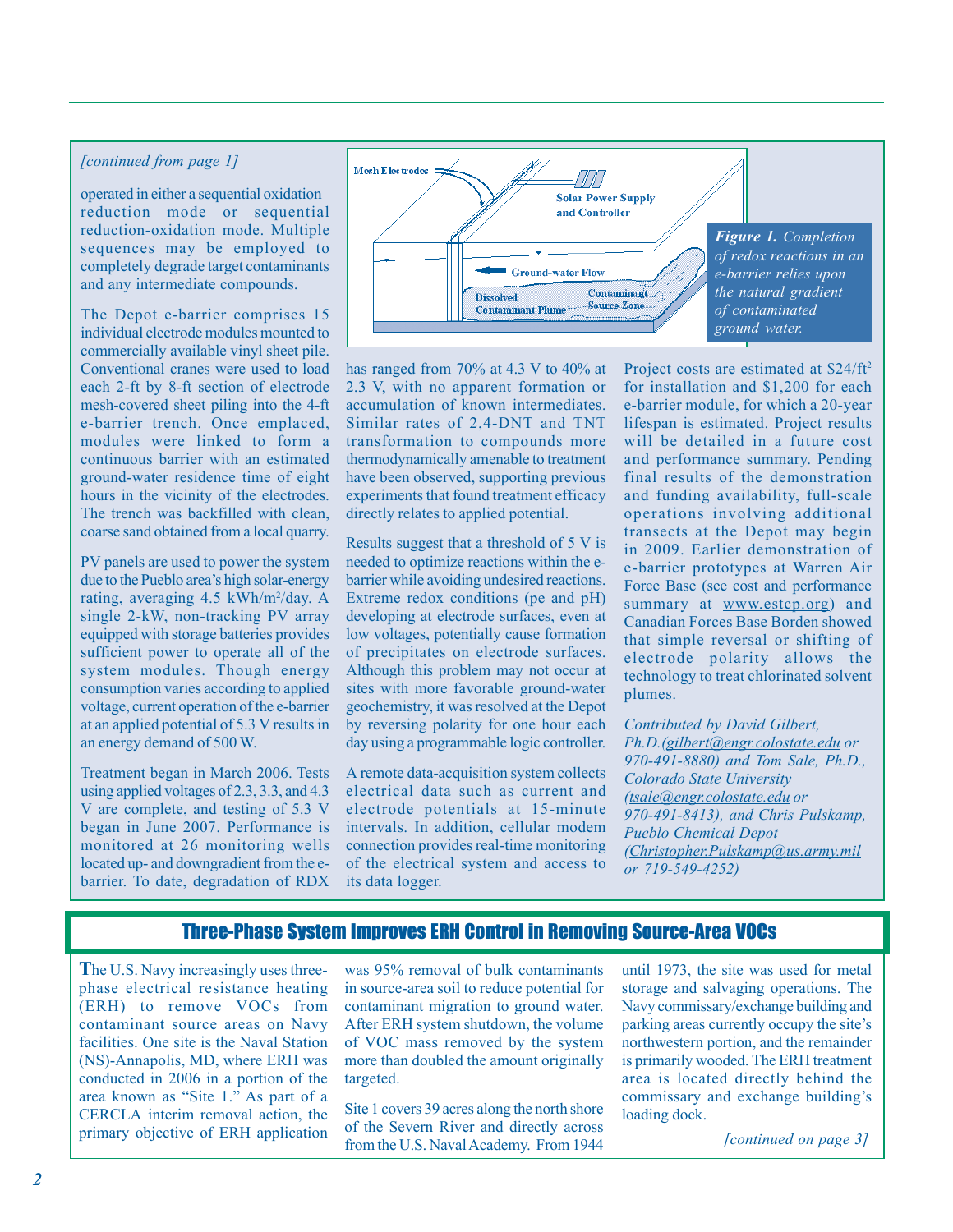### *[continued from page 1]*

operated in either a sequential oxidationreduction mode or sequential reduction-oxidation mode. Multiple sequences may be employed to and any intermediate compounds. completely degrade target contaminants

The Depot e-barrier comprises 15 individual electrode modules mounted to commercially available vinyl sheet pile. Conventional cranes were used to load each 2-ft by 8-ft section of electrode mesh-covered sheet piling into the 4-ft e-barrier trench. Once emplaced, modules were linked to form a continuous barrier with an estimated ground-water residence time of eight hours in the vicinity of the electrodes. The trench was backfilled with clean, coarse sand obtained from a local quarry.

PV panels are used to power the system rating, averaging 4.5 kWh/m<sup>2</sup>/day. A equipped with storage batteries provides sufficient power to operate all of the system modules. Though energy consumption varies according to applied voltage, current operation of the e-barrier at an applied potential of 5.3 V results in due to the Pueblo area's high solar-energy single 2-kW, non-tracking PV array an energy demand of 500 W.

using applied voltages of 2.3, 3.3, and 4.3 V are complete, and testing of 5.3 V began in June 2007. Performance is monitored at 26 monitoring wells located up- and downgradient from the e-Treatment began in March 2006. Tests barrier. To date, degradation of RDX



accumulation of known intermediates. Similar rates of 2,4-DNT and TNT transformation to compounds more thermodynamically amenable to treatment have been observed, supporting previous experiments that found treatment efficacy directly relates to applied potential. has ranged from 70% at 4.3 V to 40% at 2.3 V, with no apparent formation or

Results suggest that a threshold of 5 V is needed to optimize reactions within the ebarrier while avoiding undesired reactions. Extreme redox conditions (pe and pH) developing at electrode surfaces, even at low voltages, potentially cause formation of precipitates on electrode surfaces. Although this problem may not occur at sites with more favorable ground-water by reversing polarity for one hour each geochemistry, it was resolved at the Depot day using a programmable logic controller.

electrical data such as current and electrode potentials at 15-minute intervals. In addition, cellular modem connection provides real-time monitoring of the electrical system and access to A remote data-acquisition system collects its data logger.

Project costs are estimated at \$24/ft<sup>2</sup> for installation and \$1,200 for each e-barrier module, for which a 20-year lifespan is estimated. Project results will be detailed in a future cost final results of the demonstration operations involving additional transects at the Depot may begin in 2009. Earlier demonstration of Force Base (see cost and performance summary at www.estcp.org) and Canadian Forces Base Borden showed that simple reversal or shifting of electrode polarity allows the technology to treat chlorinated solvent plumes. and performance summary. Pending and funding availability, full-scale e-barrier prototypes at Warren Air

*Contributed by David Gilbert, Ph.D.(gilbert@engr.colostate.edu or Colorado State University (tsale@engr .colostate.edu or 970-491-8413), and Chris Pulskamp, Pueblo Chemical Depot (Christopher.Pulskamp@us.army.mil or 719-549-4252) 970-491-8880) and Tom Sale, Ph.D.,* 

### Three-Phase System Improves ERH Control in Removing Source-Area VOCs

**T**he U.S. Navy increasingly uses threephase electrical resistance heating (ERH) to remove VOCs from contaminant source areas on Navy facilities. One site is the Naval Station (NS)-Annapolis, MD, where ERH was conducted in 2006 in a portion of the CERCLA interim removal action, the primary objective of ERH application area known as "Site 1." As part of a

was 95% removal of bulk contaminants in source-area soil to reduce potential for After ERH system shutdown, the volume of VOC mass removed by the system more than doubled the amount originally targeted. contaminant migration to ground water.

Site 1 covers 39 acres along the north shore of the Severn River and directly across from the U.S. Naval Academy. From 1944 until 1973, the site was used for metal storage and salvaging operations. The Navy commissary/exchange building and northwestern portion, and the remainder is primarily wooded. The ERH treatment area is located directly behind the loading dock. parking areas currently occupy the site's commissary and exchange building's

*[continued on page 3]*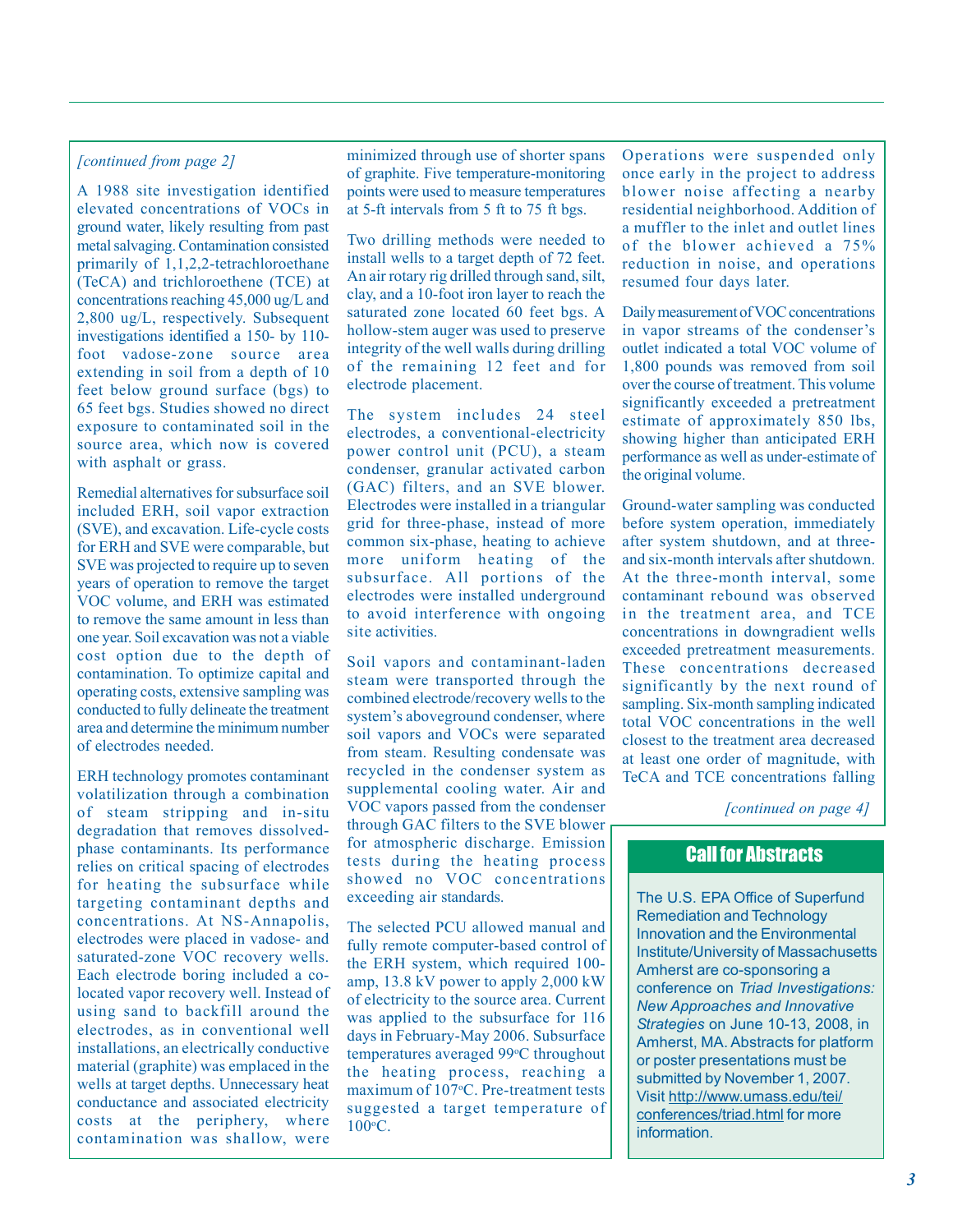metal salvaging. Contamination consisted Two drilling methods were needed to of the blower achieved a 75% nrimarily of 1.1.2.2 tetrachloroathane install wells to a target depth of 72 feet. coduction in noise, and onestimes 65 feet bgs. Studies showed no direct  $\pi$ he system includes 24 steel

cost option due to the depth of Soil vapors and contaminant-laden contamination. To optimize capital and steem were transported through the

degradation that removes dissolvedtargeting contaminant depths and concentrations. At NS-Annapolis, The selected PCU allowed manual and contamination was shallow, were

*[continued from page 2]* minimized through use of shorter spans Operations were suspended only of graphite. Five temperature-monitoring once early in the project to address of graphite. Five temperature-monitoring A 1988 site investigation identified points were used to measure temperatures blower noise affecting a nearby elevated concentrations of VOCs in at 5-ft intervals from 5 ft to 75 ft bgs. residential neighborhood. Addition of

primarily of 1,1,2,2-tetrachloroethane install wells to a target depth of  $\ell$  reduction in noise, and operations (TeCA) and triplecethane (TCE) at An air rotary rig drilled through sand, silt, resumed four days later (TeCA) and trichloroethene (TCE) at An air rotary rig drilled through sand, silt, resumed four days later. concentrations reaching  $45{,}000 \frac{\text{ug}}{\text{L}}$  and  $\frac{\text{clay}}{\text{satuated}}$  zone located 60 feet bgs. A 2,800 ug/L, respectively. Subsequent saturated zone located 60 feet bgs. A Daily measurement of VOC concentrations investigations identified a 150, by 110. hollow-stem auger was used to preserve in vapor streams of the con investigations identified a 150- by 110-<br>foot undoes zone source area, integrity of the well walls during drilling outlet indicated a total VOC volume of foot vadose-zone source area integrity of the well walls during drilling outlet indicated a total VOC volume of extending in soil from a denth of 10 of the remaining 12 feet and for 1,800 pounds was removed from soil extending in soil from a depth of 10 <sup>of the</sup> remaining 12 feet and for 1,800 pounds was removed from soil<br>feet below ground surface (bgs) to electrode placement.

exposure to contaminated solid in the system includes 24 steel estimate of approximately 850 lbs,<br>exposure to contaminated soil in the electrodes, a conventional-electricity showing higher than anticipated ERH source area, which now is covered power control unit (PCU), a steam bouted unit, which how is covered power control unit (PCU), a steam performance as well as under-estimate of condenser, granular activated carbon the original volume. Remedial alternatives for subsurface soil (GAC) filters, and an SVE blower.<br>included EPH soil vapor extraction Electrodes were installed in a triangular included ERH, soil vapor extraction Electrodes were installed in a triangular Ground-water sampling was conducted<br>(SVE) and exception Life ovelection grid for three-phase, instead of more before system operation, immediate (SVE), and excavation. Life-cycle costs grid for three-phase, instead of more before system operation, immediately<br>for ERH and SVE were comparable but common six-phase, heating to achieve after system shutdown, and at thre for ERH and SVE were comparable, but common six-phase, heating to achieve after system shutdown, and at three-<br>SVE was projected to require un to seven more uniform heating of the and six-month intervals after shutdown. SVE was projected to require up to seven more uniform heating of the and six-month intervals after shutdown. years of operation to remove the target subsurface. All portions of the At the three-month interval, some<br>VOC volume and EBH was estimated electrodes were installed underground contaminant rebound was observed VOC volume, and ERH was estimated electrodes were installed underground contaminant rebound was observed<br>to remove the same amount in less than to avoid interference with ongoing in the treatment area, and TCE to remove the same amount in less than to avoid interference with ongoing  $\frac{1}{\sqrt{C}}$  n the treatment area, and TCEE is not the treatment area, and TCEE is not the treatment area, and TCEE is not the treatment area, and one year. Soil excavation was not a viable site activities. Concentrations in downgradient wells

SOIT Vapors and contaminant-laden<br>operating costs, extensive sampling was<br>combined electrode/recovery wells to the<br>conducted to fully delineate the treatment<br>area and determine the minimum number<br>area and determine the min of electrodes needed.<br>
The minimum number<br>
of electrodes needed.<br>
The treatment area decreased to the treatment area decreased to the treatment area decreased<br>  $\frac{1}{2}$  closest to the treatment area decreased to minimum<br> ERH technology promotes contaminant recycled in the condenser system as TeCA and TCE concentrations falling<br>updetilization through a combination supplemental cooling water. Air and volatilization through a combination supplemental cooling water. Air and<br>of steam stripping and in situ. VOC vapors passed from the condenser of steam stripping and in-situ VOC vapors passed from the condenser *[continued on page 4]* phase contaminants. Its performance for atmospheric discharge. Emission relies on critical spacing of electrodes tests during the heating process for heating the subsurface while<br>targeting contaminant denths and exceeding air standards.

electrodes were placed in vadose- and<br>saturated-zone VOC recovery wells.<br>Each electrode boring included a co-<br>located vapor recovery well. Instead of<br>located vapor recovery well. Instead of<br>of electricity to the source are installations, an electrically conductive<br>material (graphite) was emplaced in the the heating process, reaching a<br>wells at target depths. Unnecessary heat maximum of 107<sup>o</sup>C. Pre-treatment tests<br>conductance and associated maximum of 107 °C. Pre-treatment tests conductance and associated electricity suggested a target temperature of costs at the periphery, where  $100^{\circ}C$  $100\textdegree$ C.

ground water, likely resulting from past a multi-section of the inlet and outlet lines

feet below ground surface (bgs) to electrode placement. This over the course of treatment. This volume<br>65 feet best Studies showed no direct surface of the course of treatment significantly exceeded a pretreatment

exceeded pretreatment measurements. total VOC concentrations in the well at least one order of magnitude, with

## Call for Abstracts

The U.S. EPA Office of Superfund Remediation and Technology Innovation and the Environmental Institute/University of Massachusetts Amherst are co-sponsoring a conference on *Triad Investigations: New Approaches and Innovative Strategies* on June 10-13, 2008, in Amherst, MA. Abstracts for platform or poster presentations must be submitted by November 1, 2007. Visit http://www.umass.edu/tei/ conferences/triad.html for more information.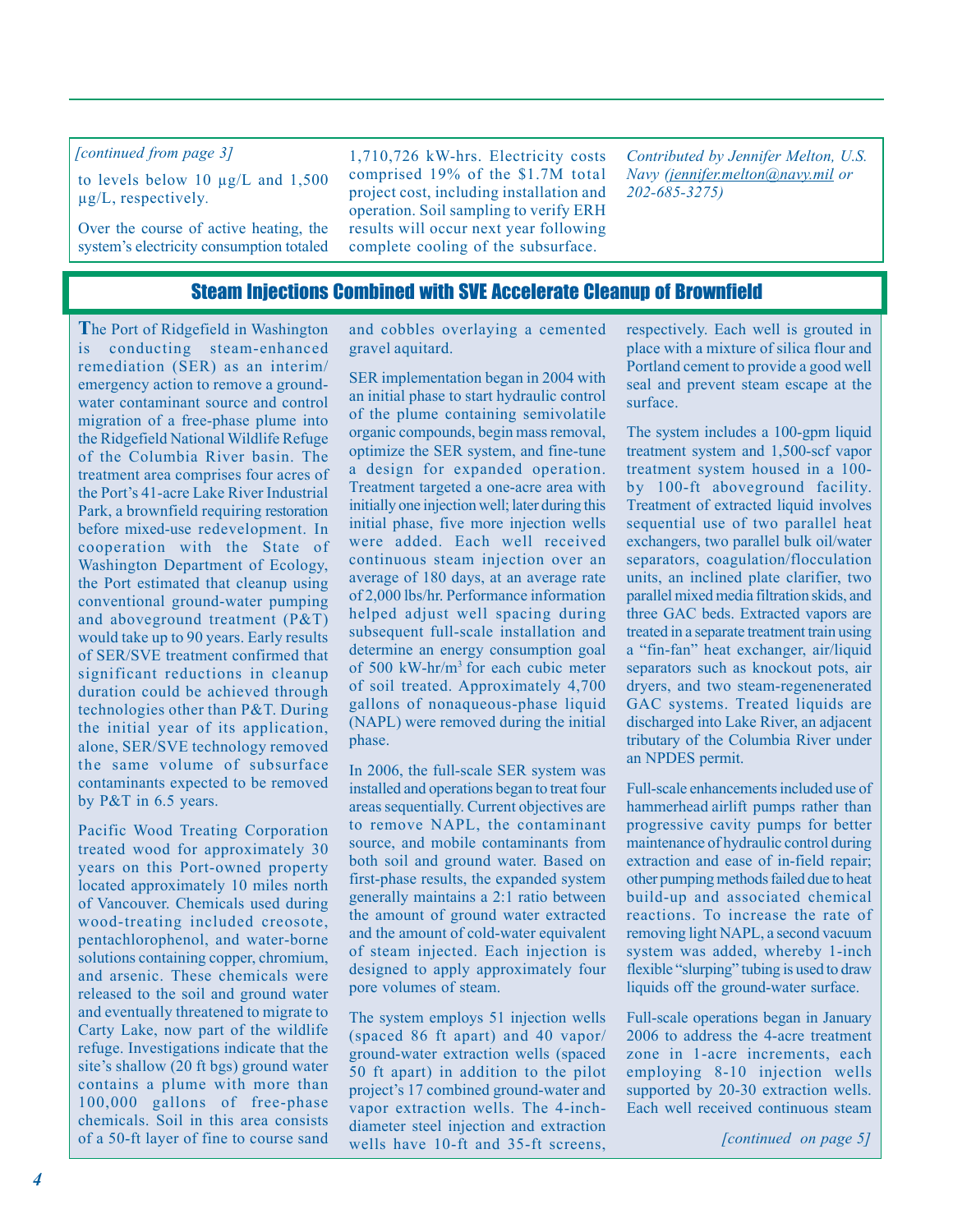### *[continued from page 3]*

to levels below 10 µg/L and 1,500 µg/L, respectively*.* 

Over the course of active heating, the system's electricity consumption totaled

1,710,726 kW-hrs. Electricity costs comprised 19% of the \$1.7M total project cost, including installation and operation. Soil sampling to verify ERH results will occur next year following complete cooling of the subsurface.

*Contributed by Jennifer Melton, U.S. Navy (jennifer.melton@navy.mil or 202-685-3275)* 

### Steam Injections Combined with SVE Accelerate Cleanup of Brownfield

**T**he Port of Ridgefield in Washington is conducting steam-enhanced remediation (SER) as an interim/ emergency action to remove a groundwater contaminant source and control migration of a free-phase plume into the Ridgefield National Wildlife Refuge of the Columbia River basin. The treatment area comprises four acres of the Port's 41-acre Lake River Industrial Park, a brownfield requiring restoration before mixed-use redevelopment. In cooperation with the State of Washington Department of Ecology, the Port estimated that cleanup using conventional ground-water pumping and aboveground treatment (P&T) would take up to 90 years. Early results of SER/SVE treatment confirmed that significant reductions in cleanup duration could be achieved through technologies other than P&T. During the initial year of its application, alone, SER/SVE technology removed the same volume of subsurface contaminants expected to be removed by P&T in 6.5 years.

Pacific Wood Treating Corporation treated wood for approximately 30 years on this Port-owned property located approximately 10 miles north of Vancouver. Chemicals used during wood-treating included creosote, pentachlorophenol, and water-borne solutions containing copper, chromium, and arsenic. These chemicals were released to the soil and ground water and eventually threatened to migrate to Carty Lake, now part of the wildlife refuge. Investigations indicate that the site's shallow (20 ft bgs) ground water contains a plume with more than 100,000 gallons of free-phase chemicals. Soil in this area consists of a 50-ft layer of fine to course sand

and cobbles overlaying a cemented gravel aquitard.

SER implementation began in 2004 with an initial phase to start hydraulic control of the plume containing semivolatile organic compounds, begin mass removal, optimize the SER system, and fine-tune a design for expanded operation. Treatment targeted a one-acre area with initially one injection well; later during this initial phase, five more injection wells were added. Each well received continuous steam injection over an average of 180 days, at an average rate of 2,000 lbs/hr. Performance information helped adjust well spacing during subsequent full-scale installation and determine an energy consumption goal of 500 kW-hr/m3 for each cubic meter of soil treated. Approximately 4,700 gallons of nonaqueous-phase liquid (NAPL) were removed during the initial phase.

In 2006, the full-scale SER system was installed and operations began to treat four areas sequentially. Current objectives are to remove NAPL, the contaminant source, and mobile contaminants from both soil and ground water. Based on first-phase results, the expanded system generally maintains a 2:1 ratio between the amount of ground water extracted and the amount of cold-water equivalent of steam injected. Each injection is designed to apply approximately four pore volumes of steam.

The system employs 51 injection wells (spaced 86 ft apart) and 40 vapor/ ground-water extraction wells (spaced 50 ft apart) in addition to the pilot project's 17 combined ground-water and vapor extraction wells. The 4-inchdiameter steel injection and extraction wells have 10-ft and 35-ft screens, respectively. Each well is grouted in place with a mixture of silica flour and Portland cement to provide a good well seal and prevent steam escape at the surface.

The system includes a 100-gpm liquid treatment system and 1,500-scf vapor treatment system housed in a 100 by 100-ft aboveground facility. Treatment of extracted liquid involves sequential use of two parallel heat exchangers, two parallel bulk oil/water separators, coagulation/flocculation units, an inclined plate clarifier, two parallel mixed media filtration skids, and three GAC beds. Extracted vapors are treated in a separate treatment train using a "fin-fan" heat exchanger, air/liquid separators such as knockout pots, air dryers, and two steam-regenenerated GAC systems. Treated liquids are discharged into Lake River, an adjacent tributary of the Columbia River under an NPDES permit.

Full-scale enhancements included use of hammerhead airlift pumps rather than progressive cavity pumps for better maintenance of hydraulic control during extraction and ease of in-field repair; other pumping methods failed due to heat build-up and associated chemical reactions. To increase the rate of removing light NAPL, a second vacuum system was added, whereby 1-inch flexible "slurping" tubing is used to draw liquids off the ground-water surface.

Full-scale operations began in January 2006 to address the 4-acre treatment zone in 1-acre increments, each employing 8-10 injection wells supported by 20-30 extraction wells. Each well received continuous steam

*[continued on page 5]*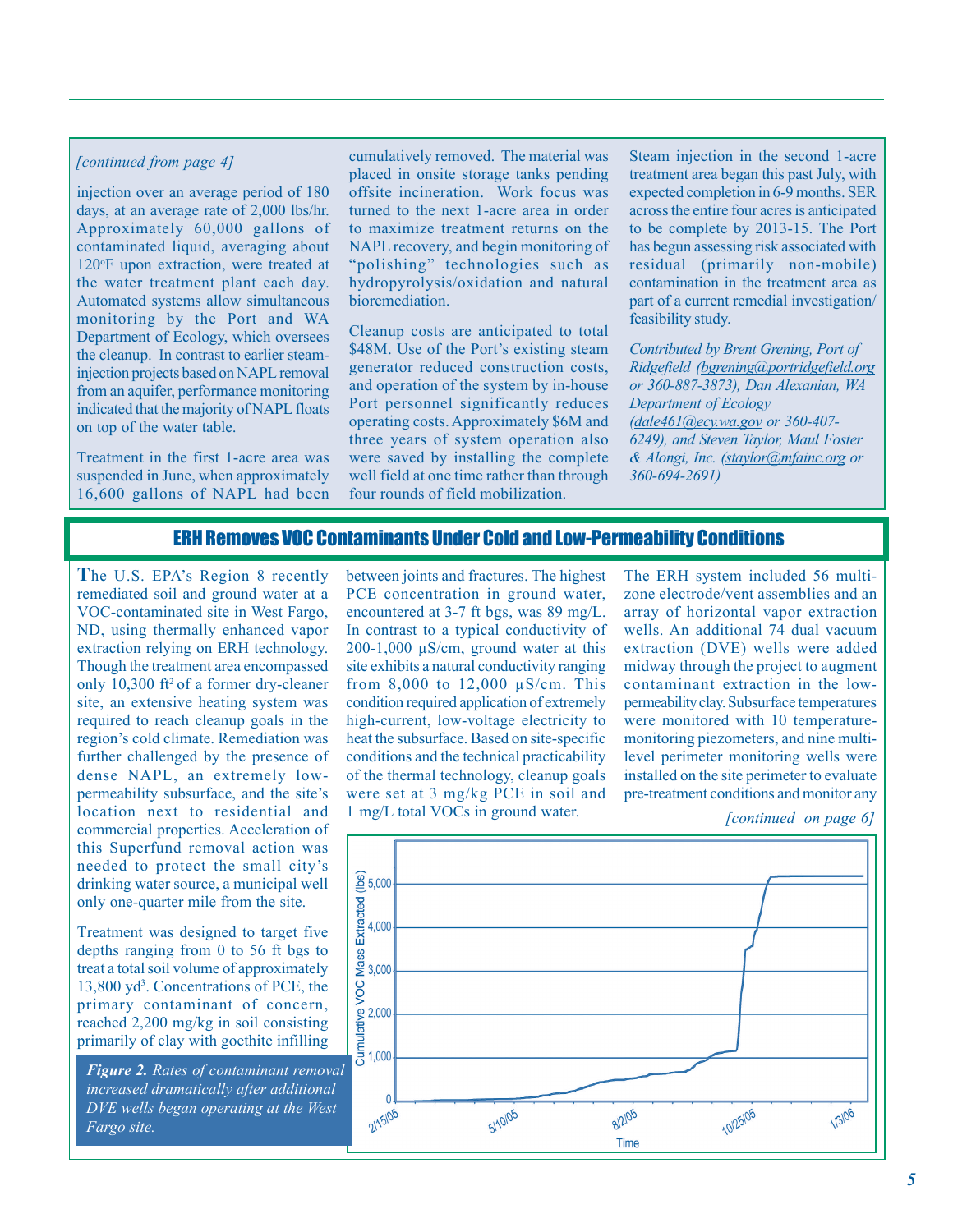### *[continued from page 4]*

injection over an average period of 180 Approximately 60,000 gallons of contaminated liquid, averaging about 120°F upon extraction, were treated at Automated systems allow simultaneous monitoring by the Port and WA the cleanup. In contrast to earlier steaminjection projects based on NAPL removal indicated that the majority of NAPL floats on top of the water table. days, at an average rate of 2,000 lbs/hr. the water treatment plant each day. Department of Ecology, which oversees from an aquifer, performance monitoring

Treatment in the first 1-acre area was suspended in June, when approximately 16,600 gallons of NAPL had been

cumulatively removed. The material was placed in onsite storage tanks pending turned to the next 1-acre area in order to maximize treatment returns on the "polishing" technologies such as hydropyrolysis/oxidation and natural bioremediation. offsite incineration. Work focus was NAPL recovery, and begin monitoring of

generator reduced construction costs, and operation of the system by in-house Port personnel significantly reduces three years of system operation also were saved by installing the complete well field at one time rather than through Cleanup costs are anticipated to total \$48M. Use of the Port's existing steam operating costs. Approximately \$6M and four rounds of field mobilization.

Steam injection in the second 1-acre expected completion in 6-9 months. SER across the entire four acres is anticipated to be complete by 2013-15. The Port has begun assessing risk associated with residual (primarily non-mobile) contamination in the treatment area as part of a current remedial investigation/ treatment area began this past July, with feasibility study.

*Ridgefield (bgrening@portridgefield.org Department of Ecology (dale461@ecy.wa.gov or 360-407 staylor@mfainc.org or & Alongi, Inc. ( 360-694-2691) Contributed by Brent Grening, Port of or 360-887-3873), Dan Alexanian, WA 6249), and Steven Taylor, Maul Foster* 

# ERH Removes VOC Contaminants Under Cold and Low-Permeability Conditions

The U.S. EPA's Region 8 recently remediated soil and ground water at a ND, using thermally enhanced vapor Though the treatment area encompassed only 10,300 ft<sup>2</sup> of a former dry-cleaner site, an extensive heating system was required to reach cleanup goals in the further challenged by the presence of dense NAPL, an extremely lowlocation next to residential and this Superfund removal action was drinking water source, a municipal well only one-quarter mile from the site. VOC-contaminated site in West Fargo, extraction relying on ERH technology. region's cold climate. Remediation was permeability subsurface, and the site's commercial properties. Acceleration of needed to protect the small city's

Treatment was designed to target five depths ranging from 0 to 56 ft bgs to treat a total soil volume of approximately 13,800 yd3 . Concentrations of PCE, the primary contaminant of concern, reached 2,200 mg/kg in soil consisting primarily of clay with goethite infilling

*Figure 2. Rates of contaminant removal increased dramatically after additional DVE wells began operating at the West Fargo site.* 

between joints and fractures. The highest In contrast to a typical conductivity of 200-1,000 µS/cm, ground water at this site exhibits a natural conductivity ranging from 8,000 to 12,000 µS/cm. This condition required application of extremely high-current, low-voltage electricity to heat the subsurface. Based on site-specific conditions and the technical practicability were set at 3 mg/kg PCE in soil and PCE concentration in ground water, encountered at 3-7 ft bgs, was 89 mg/L. of the thermal technology, cleanup goals 1 mg/L total VOCs in ground water.

The ERH system included 56 multizone electrode/vent assemblies and an array of horizontal vapor extraction extraction (DVE) wells were added midway through the project to augment were monitored with 10 temperaturemonitoring piezometers, and nine multilevel perimeter monitoring wells were installed on the site perimeter to evaluate pre-treatment conditions and monitor any wells. An additional 74 dual vacuum contaminant extraction in the lowpermeability clay. Subsurface temperatures

*[continued on page 6]*